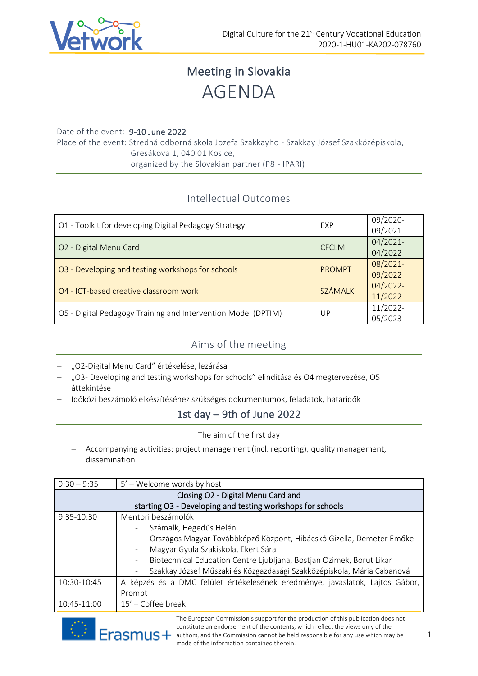

# Meeting in Slovakia AGENDA

#### Date of the event: 9-10 June 2022

Place of the event: Stredná odborná skola Jozefa Szakkayho - Szakkay József Szakközépiskola, Gresákova 1, 040 01 Kosice, organized by the Slovakian partner (P8 - IPARI)

### Intellectual Outcomes

| O1 - Toolkit for developing Digital Pedagogy Strategy         | EXP            | 09/2020-<br>09/2021 |
|---------------------------------------------------------------|----------------|---------------------|
| O2 - Digital Menu Card                                        | <b>CFCLM</b>   | 04/2021-<br>04/2022 |
| O3 - Developing and testing workshops for schools             | <b>PROMPT</b>  | 08/2021-<br>09/2022 |
| 04 - ICT-based creative classroom work                        | <b>SZÁMALK</b> | 04/2022-<br>11/2022 |
| O5 - Digital Pedagogy Training and Intervention Model (DPTIM) | UP             | 11/2022-<br>05/2023 |

### Aims of the meeting

- − "O2-Digital Menu Card" értékelése, lezárása
- − "O3- Developing and testing workshops for schools" elindítása és O4 megtervezése, O5 áttekintése
- − Időközi beszámoló elkészítéséhez szükséges dokumentumok, feladatok, határidők

## 1st day – 9th of June 2022

The aim of the first day

− Accompanying activities: project management (incl. reporting), quality management, dissemination

| $9:30 - 9:35$                                              | 5' – Welcome words by host                                                                       |  |
|------------------------------------------------------------|--------------------------------------------------------------------------------------------------|--|
| Closing O2 - Digital Menu Card and                         |                                                                                                  |  |
| starting O3 - Developing and testing workshops for schools |                                                                                                  |  |
| $9:35-10:30$                                               | Mentori beszámolók                                                                               |  |
|                                                            | Számalk, Hegedűs Helén                                                                           |  |
|                                                            | Országos Magyar Továbbképző Központ, Hibácskó Gizella, Demeter Emőke<br>$\overline{\phantom{0}}$ |  |
|                                                            | Magyar Gyula Szakiskola, Ekert Sára                                                              |  |
|                                                            | Biotechnical Education Centre Ljubljana, Bostjan Ozimek, Borut Likar                             |  |
|                                                            | Szakkay József Műszaki és Közgazdasági Szakközépiskola, Mária Cabanová                           |  |
| 10:30-10:45                                                | A képzés és a DMC felület értékelésének eredménye, javaslatok, Lajtos Gábor,                     |  |
|                                                            | Prompt                                                                                           |  |
| 10:45-11:00                                                | $15'$ – Coffee break                                                                             |  |

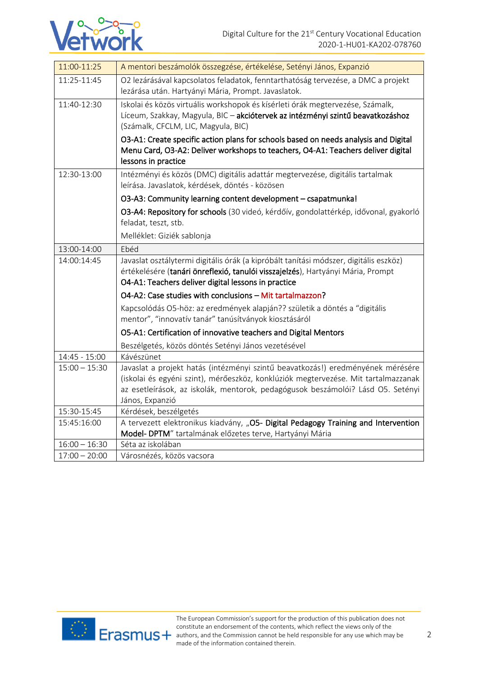

| 11:00-11:25     | A mentori beszámolók összegzése, értékelése, Setényi János, Expanzió                                                                                                                                                                                                        |
|-----------------|-----------------------------------------------------------------------------------------------------------------------------------------------------------------------------------------------------------------------------------------------------------------------------|
| 11:25-11:45     | O2 lezárásával kapcsolatos feladatok, fenntarthatóság tervezése, a DMC a projekt<br>lezárása után. Hartyányi Mária, Prompt. Javaslatok.                                                                                                                                     |
| 11:40-12:30     | Iskolai és közös virtuális workshopok és kísérleti órák megtervezése, Számalk,<br>Líceum, Szakkay, Magyula, BIC - akciótervek az intézményi szintű beavatkozáshoz<br>(Számalk, CFCLM, LIC, Magyula, BIC)                                                                    |
|                 | O3-A1: Create specific action plans for schools based on needs analysis and Digital<br>Menu Card, O3-A2: Deliver workshops to teachers, O4-A1: Teachers deliver digital<br>lessons in practice                                                                              |
| 12:30-13:00     | Intézményi és közös (DMC) digitális adattár megtervezése, digitális tartalmak<br>leírása. Javaslatok, kérdések, döntés - közösen                                                                                                                                            |
|                 | O3-A3: Community learning content development - csapatmunka!                                                                                                                                                                                                                |
|                 | O3-A4: Repository for schools (30 videó, kérdőív, gondolattérkép, idővonal, gyakorló<br>feladat, teszt, stb.                                                                                                                                                                |
|                 | Melléklet: Giziék sablonja                                                                                                                                                                                                                                                  |
| 13:00-14:00     | Ebéd                                                                                                                                                                                                                                                                        |
| 14:00:14:45     | Javaslat osztálytermi digitális órák (a kipróbált tanítási módszer, digitális eszköz)<br>értékelésére (tanári önreflexió, tanulói visszajelzés), Hartyányi Mária, Prompt<br>O4-A1: Teachers deliver digital lessons in practice                                             |
|                 | O4-A2: Case studies with conclusions - Mit tartalmazzon?                                                                                                                                                                                                                    |
|                 | Kapcsolódás O5-höz: az eredmények alapján?? születik a döntés a "digitális<br>mentor", "innovatív tanár" tanúsítványok kiosztásáról                                                                                                                                         |
|                 | O5-A1: Certification of innovative teachers and Digital Mentors                                                                                                                                                                                                             |
|                 | Beszélgetés, közös döntés Setényi János vezetésével                                                                                                                                                                                                                         |
| $14:45 - 15:00$ | Kávészünet                                                                                                                                                                                                                                                                  |
| $15:00 - 15:30$ | Javaslat a projekt hatás (intézményi szintű beavatkozás!) eredményének mérésére<br>(iskolai és egyéni szint), mérőeszköz, konklúziók megtervezése. Mit tartalmazzanak<br>az esetleírások, az iskolák, mentorok, pedagógusok beszámolói? Lásd O5. Setényi<br>János, Expanzió |
| 15:30-15:45     | Kérdések, beszélgetés                                                                                                                                                                                                                                                       |
| 15:45:16:00     | A tervezett elektronikus kiadvány, "O5- Digital Pedagogy Training and Intervention<br>Model- DPTM" tartalmának előzetes terve, Hartyányi Mária                                                                                                                              |
| $16:00 - 16:30$ | Séta az iskolában                                                                                                                                                                                                                                                           |
| $17:00 - 20:00$ | Városnézés, közös vacsora                                                                                                                                                                                                                                                   |

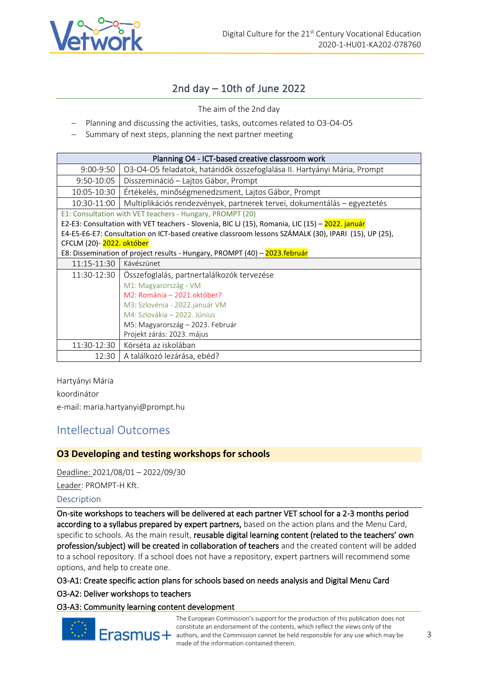

### 2nd day – 10th of June 2022

The aim of the 2nd day

- − Planning and discussing the activities, tasks, outcomes related to O3-O4-O5
- Summary of next steps, planning the next partner meeting

| Planning O4 - ICT-based creative classroom work                                                      |                                                                          |  |
|------------------------------------------------------------------------------------------------------|--------------------------------------------------------------------------|--|
| $9:00 - 9:50$                                                                                        | O3-O4-O5 feladatok, határidők összefoglalása II. Hartyányi Mária, Prompt |  |
| 9:50-10:05                                                                                           | Disszemináció - Lajtos Gábor, Prompt                                     |  |
| 10:05-10:30                                                                                          | Értékelés, minőségmenedzsment, Lajtos Gábor, Prompt                      |  |
| 10:30-11:00                                                                                          | Multiplikációs rendezvények, partnerek tervei, dokumentálás – egyeztetés |  |
| E1: Consultation with VET teachers - Hungary, PROMPT (20)                                            |                                                                          |  |
| E2-E3: Consultation with VET teachers - Slovenia, BIC LJ (15), Romania, LIC (15) - 2022. január      |                                                                          |  |
| E4-E5-E6-E7: Consultation on ICT-based creative classroom lessons SZÁMALK (30), IPARI (15), UP (25), |                                                                          |  |
| CFCLM (20)-2022. október                                                                             |                                                                          |  |
| E8: Dissemination of project results - Hungary, PROMPT (40) - 2023.február                           |                                                                          |  |
| 11:15-11:30                                                                                          | Kávészünet                                                               |  |
| 11:30-12:30                                                                                          | Ósszefoglalás, partnertalálkozók tervezése                               |  |
|                                                                                                      | M1: Magyarország - VM                                                    |  |
|                                                                                                      | M2: Románia - 2021.október?                                              |  |
|                                                                                                      | M3: Szlovénia - 2022.január VM                                           |  |
|                                                                                                      | M4: Szlovákia – 2022. Június                                             |  |
|                                                                                                      | M5: Magyarország – 2023. Február                                         |  |
|                                                                                                      | Projekt zárás: 2023. május                                               |  |
| 11:30-12:30                                                                                          | Körséta az iskolában                                                     |  |
| 12:30                                                                                                | A találkozó lezárása, ebéd?                                              |  |

Hartyányi Mária koordinátor e-mail: maria.hartyanyi@prompt.hu

## Intellectual Outcomes

#### **O3 Developing and testing workshops for schools**

Deadline: 2021/08/01 – 2022/09/30 Leader: PROMPT-H Kft. Description

On-site workshops to teachers will be delivered at each partner VET school for a 2-3 months period according to a syllabus prepared by expert partners, based on the action plans and the Menu Card, specific to schools. As the main result, reusable digital learning content (related to the teachers' own profession/subject) will be created in collaboration of teachers and the created content will be added to a school repository. If a school does not have a repository, expert partners will recommend some options, and help to create one.

#### O3-A1: Create specific action plans for schools based on needs analysis and Digital Menu Card

#### O3-A2: Deliver workshops to teachers

#### O3-A3: Community learning content development



The European Commission's support for the production of this publication does not constitute an endorsement of the contents, which reflect the views only of the Erasmus + authors, and the Commission cannot be held responsible for any use which may be made of the information contained therein.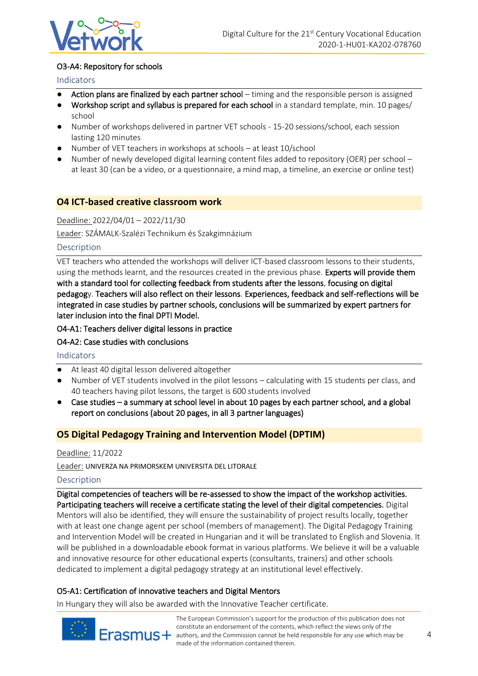

#### O3-A4: Repository for schools

#### Indicators

- Action plans are finalized by each partner school timing and the responsible person is assigned
- Workshop script and syllabus is prepared for each school in a standard template, min. 10 pages/ school
- Number of workshops delivered in partner VET schools 15-20 sessions/school, each session lasting 120 minutes
- Number of VET teachers in workshops at schools at least 10/school
- Number of newly developed digital learning content files added to repository (OER) per school at least 30 (can be a video, or a questionnaire, a mind map, a timeline, an exercise or online test)

#### **O4 ICT-based creative classroom work**

Deadline: 2022/04/01 – 2022/11/30

Leader: SZÁMALK-Szalézi Technikum és Szakgimnázium

#### Description

VET teachers who attended the workshops will deliver ICT-based classroom lessons to their students, using the methods learnt, and the resources created in the previous phase. Experts will provide them with a standard tool for collecting feedback from students after the lessons, focusing on digital pedagogy. Teachers will also reflect on their lessons. Experiences, feedback and self-reflections will be integrated in case studies by partner schools, conclusions will be summarized by expert partners for later inclusion into the final DPTI Model.

O4-A1: Teachers deliver digital lessons in practice

#### O4-A2: Case studies with conclusions

Indicators

- At least 40 digital lesson delivered altogether
- Number of VET students involved in the pilot lessons calculating with 15 students per class, and 40 teachers having pilot lessons, the target is 600 students involved
- Case studies a summary at school level in about 10 pages by each partner school, and a global report on conclusions (about 20 pages, in all 3 partner languages)

#### **O5 Digital Pedagogy Training and Intervention Model (DPTIM)**

#### Deadline: 11/2022

Leader: UNIVERZA NA PRIMORSKEM UNIVERSITA DEL LITORALE

#### Description

Digital competencies of teachers will be re-assessed to show the impact of the workshop activities. Participating teachers will receive a certificate stating the level of their digital competencies. Digital Mentors will also be identified, they will ensure the sustainability of project results locally, together with at least one change agent per school (members of management). The Digital Pedagogy Training and Intervention Model will be created in Hungarian and it will be translated to English and Slovenia. It will be published in a downloadable ebook format in various platforms. We believe it will be a valuable and innovative resource for other educational experts (consultants, trainers) and other schools dedicated to implement a digital pedagogy strategy at an institutional level effectively.

#### O5-A1: Certification of innovative teachers and Digital Mentors

In Hungary they will also be awarded with the Innovative Teacher certificate.



The European Commission's support for the production of this publication does not constitute an endorsement of the contents, which reflect the views only of the Erasmus + authors, and the Commission cannot be held responsible for any use which may be made of the information contained therein.